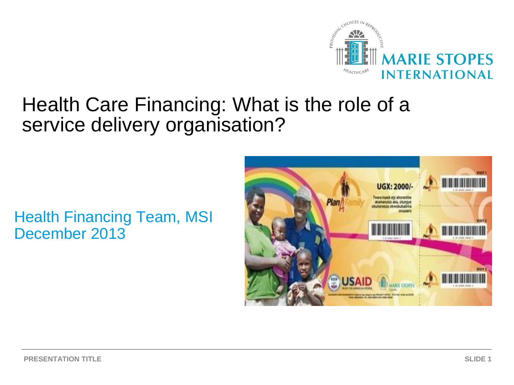

# Health Care Financing: What is the role of a service delivery organisation?

#### Health Financing Team, MSI December 2013

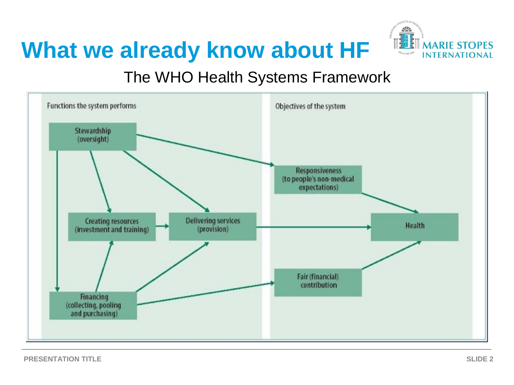



#### The WHO Health Systems Framework

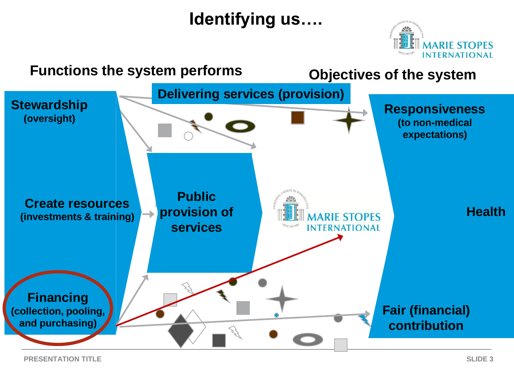## **Identifying us….**



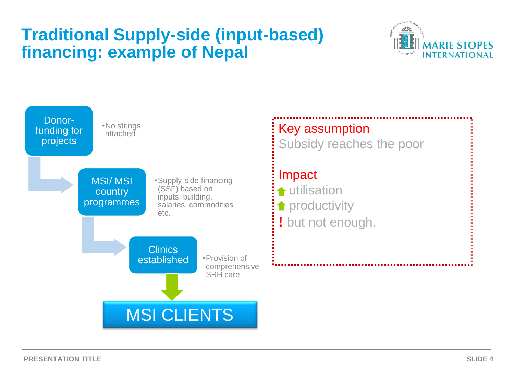### **Traditional Supply-side (input-based) financing: example of Nepal**



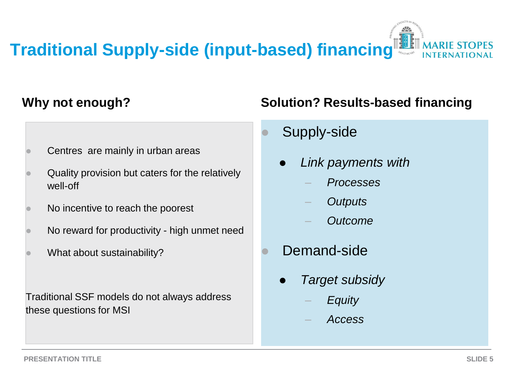# **Traditional Supply-side (input-based) financing**

#### **Why not enough?**

- Centres are mainly in urban areas
- Quality provision but caters for the relatively well-off
- No incentive to reach the poorest
- No reward for productivity high unmet need
- What about sustainability?

Traditional SSF models do not always address these questions for MSI

#### **Solution? Results-based financing**

- Supply-side
	- *Link payments with*
		- *Processes*
		- *Outputs*
		- *Outcome*
- Demand-side
	- *Target subsidy* 
		- *Equity*
		- *Access*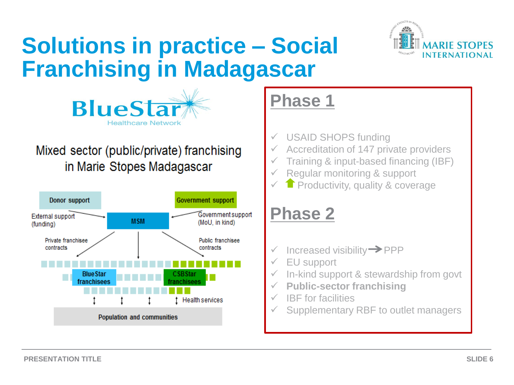# **Solutions in practice – Social Franchising in Madagascar**





#### Mixed sector (public/private) franchising in Marie Stopes Madagascar



# **Phase 1**

- USAID SHOPS funding
- Accreditation of 147 private providers
- Training & input-based financing (IBF)
- Regular monitoring & support
- **Productivity, quality & coverage**

# **Phase 2**

- Increased visibility  $\rightarrow$  PPP
- EU support
- In-kind support & stewardship from govt
- **Public-sector franchising**
- IBF for facilities
- Supplementary RBF to outlet managers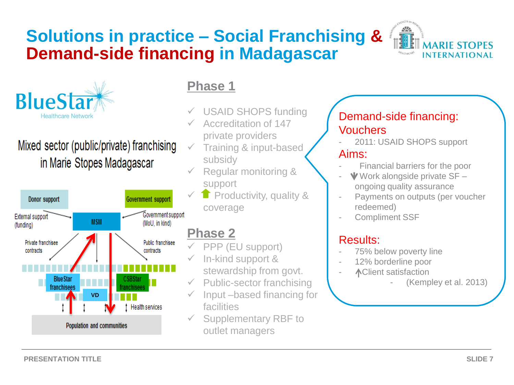### **Solutions in practice – Social Franchising & Demand-side financing in Madagascar**





#### Mixed sector (public/private) franchising in Marie Stopes Madagascar



#### **Phase 1**

- USAID SHOPS funding
- Accreditation of 147 private providers
- $\checkmark$  Training & input-based subsidy
- Regular monitoring & support
- **Productivity, quality &** coverage

#### **Phase 2**

- PPP (EU support)
- In-kind support & stewardship from govt.
- Public-sector franchising
- Input –based financing for facilities
- Supplementary RBF to outlet managers

#### Demand-side financing: **Vouchers**

- 2011: USAID SHOPS support Aims:
- Financial barriers for the poor
- $\blacktriangledown$  Work alongside private SF ongoing quality assurance
- Payments on outputs (per voucher redeemed)
- Compliment SSF

#### Results:

- 75% below poverty line
- 12% borderline poor
- Client satisfaction

<sup>(</sup>Kempley et al. 2013)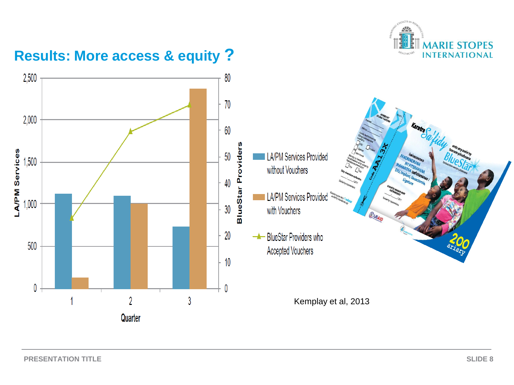

#### **Results: More access & equity ?**

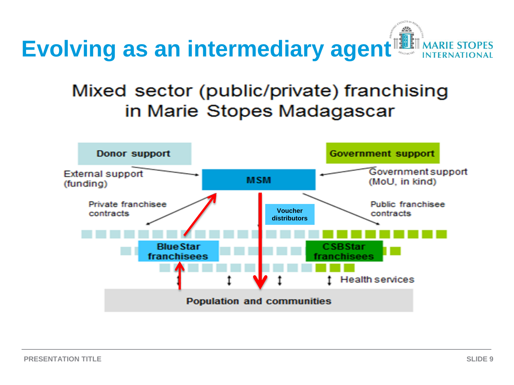

### Mixed sector (public/private) franchising in Marie Stopes Madagascar

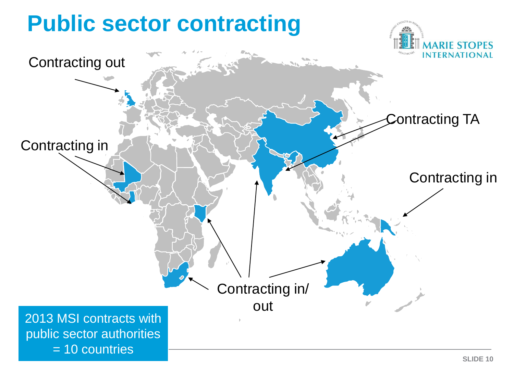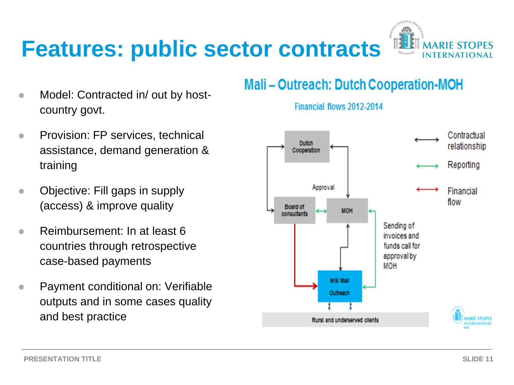# **Features: public sector contracts**



- Model: Contracted in/ out by hostcountry govt.
- **Provision: FP services, technical** assistance, demand generation & training
- Objective: Fill gaps in supply (access) & improve quality
- **Reimbursement: In at least 6** countries through retrospective case-based payments
- Payment conditional on: Verifiable outputs and in some cases quality and best practice

#### **Mali-Outreach: Dutch Cooperation-MOH**



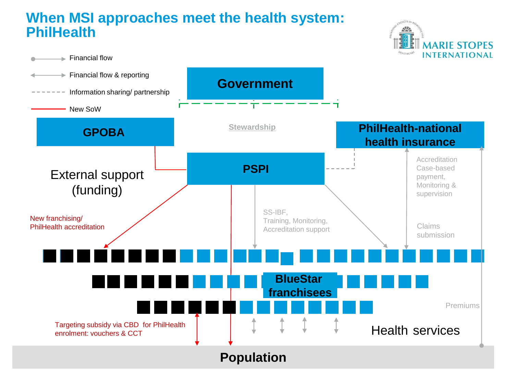#### **When MSI approaches meet the health system: PhilHealth**



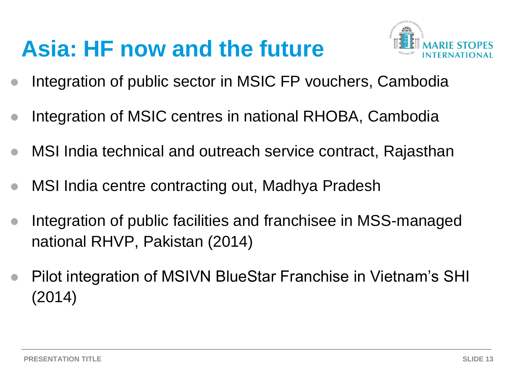# **Asia: HF now and the future**



- Integration of public sector in MSIC FP vouchers, Cambodia
- Integration of MSIC centres in national RHOBA, Cambodia
- MSI India technical and outreach service contract, Rajasthan
- MSI India centre contracting out, Madhya Pradesh
- Integration of public facilities and franchisee in MSS-managed national RHVP, Pakistan (2014)
- Pilot integration of MSIVN BlueStar Franchise in Vietnam's SHI (2014)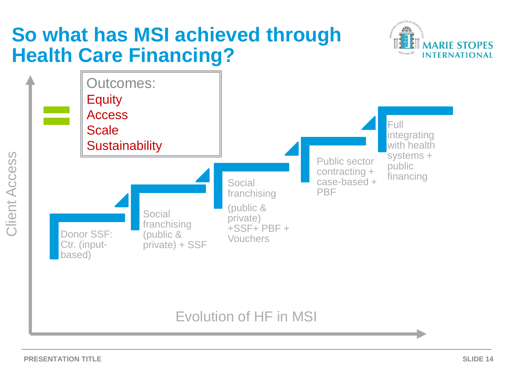# **So what has MSI achieved through Health Care Financing?**